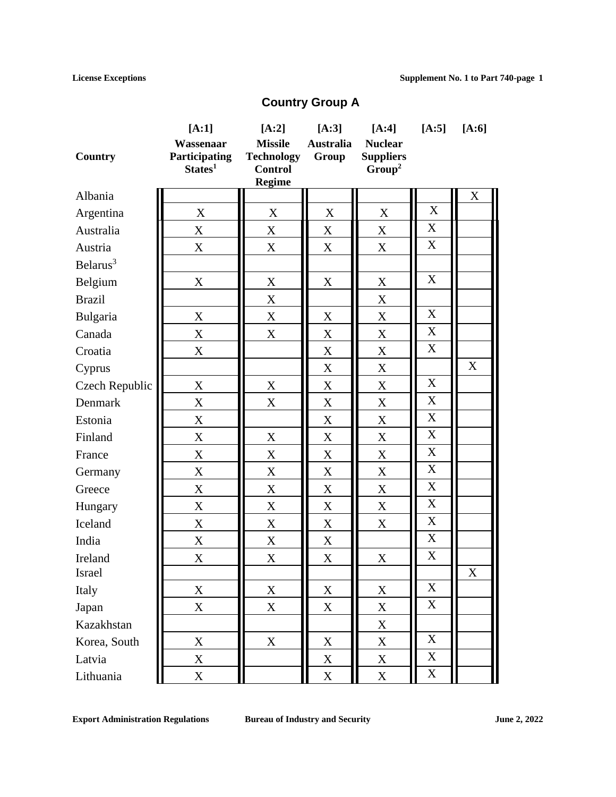# **Country Group A**

|                      | $[A:1]$                                                  | $[A:2]$                                               | $[A:3]$                   | $[A:4]$                                                  | $[A:5]$                   | $[A:6]$                   |
|----------------------|----------------------------------------------------------|-------------------------------------------------------|---------------------------|----------------------------------------------------------|---------------------------|---------------------------|
| Country              | Wassenaar<br><b>Participating</b><br>States <sup>1</sup> | <b>Missile</b><br><b>Technology</b><br><b>Control</b> | <b>Australia</b><br>Group | <b>Nuclear</b><br><b>Suppliers</b><br>Group <sup>2</sup> |                           |                           |
|                      |                                                          | <b>Regime</b>                                         |                           |                                                          |                           |                           |
| Albania              |                                                          |                                                       |                           |                                                          |                           | X                         |
| Argentina            | X                                                        | X                                                     | X                         | X                                                        | $\mathbf X$               |                           |
| Australia            | $\mathbf X$                                              | X                                                     | X                         | X                                                        | X                         |                           |
| Austria              | $\boldsymbol{\mathrm{X}}$                                | X                                                     | X                         | X                                                        | X                         |                           |
| Belarus <sup>3</sup> |                                                          |                                                       |                           |                                                          |                           |                           |
| Belgium              | $\mathbf X$                                              | X                                                     | $\boldsymbol{\mathrm{X}}$ | X                                                        | X                         |                           |
| <b>Brazil</b>        |                                                          | X                                                     |                           | X                                                        |                           |                           |
| Bulgaria             | X                                                        | X                                                     | $\boldsymbol{\mathrm{X}}$ | $\boldsymbol{\mathrm{X}}$                                | X                         |                           |
| Canada               | $\mathbf X$                                              | X                                                     | X                         | X                                                        | X                         |                           |
| Croatia              | X                                                        |                                                       | X                         | X                                                        | X                         |                           |
| Cyprus               |                                                          |                                                       | $\boldsymbol{\mathrm{X}}$ | $\mathbf X$                                              |                           | $\boldsymbol{\mathrm{X}}$ |
| Czech Republic       | $\boldsymbol{\mathrm{X}}$                                | X                                                     | X                         | $\boldsymbol{\mathrm{X}}$                                | X                         |                           |
| Denmark              | X                                                        | X                                                     | X                         | X                                                        | X                         |                           |
| Estonia              | X                                                        |                                                       | X                         | X                                                        | X                         |                           |
| Finland              | $\boldsymbol{\mathrm{X}}$                                | X                                                     | $\boldsymbol{\mathrm{X}}$ | $\boldsymbol{\mathrm{X}}$                                | X                         |                           |
| France               | $\mathbf X$                                              | X                                                     | X                         | X                                                        | X                         |                           |
| Germany              | $\mathbf X$                                              | X                                                     | X                         | X                                                        | X                         |                           |
| Greece               | $\boldsymbol{\mathrm{X}}$                                | X                                                     | $\boldsymbol{\mathrm{X}}$ | $\mathbf X$                                              | $\mathbf X$               |                           |
| Hungary              | $\boldsymbol{\mathrm{X}}$                                | X                                                     | X                         | $\mathbf X$                                              | X                         |                           |
| Iceland              | X                                                        | X                                                     | X                         | $\boldsymbol{\mathrm{X}}$                                | X                         |                           |
| India                | $\mathbf X$                                              | X                                                     | X                         |                                                          | $\boldsymbol{\mathrm{X}}$ |                           |
| Ireland              | $\mathbf X$                                              | X                                                     | $\mathbf X$               | $\mathbf X$                                              | $\boldsymbol{\mathrm{X}}$ |                           |
| Israel               |                                                          |                                                       |                           |                                                          |                           | X                         |
| Italy                | X                                                        | $\boldsymbol{\mathrm{X}}$                             | $\mathbf X$               | $\mathbf X$                                              | X                         |                           |
| Japan                | $\mathbf X$                                              | X                                                     | X                         | X                                                        | $\mathbf X$               |                           |
| Kazakhstan           |                                                          |                                                       |                           | X                                                        |                           |                           |
| Korea, South         | $\mathbf X$                                              | X                                                     | X                         | X                                                        | X                         |                           |
| Latvia               | X                                                        |                                                       | $\overline{X}$            | X                                                        | X                         |                           |
| Lithuania            | $\boldsymbol{\mathrm{X}}$                                |                                                       | $\mathbf X$               | $\boldsymbol{\mathrm{X}}$                                | $\mathbf X$               |                           |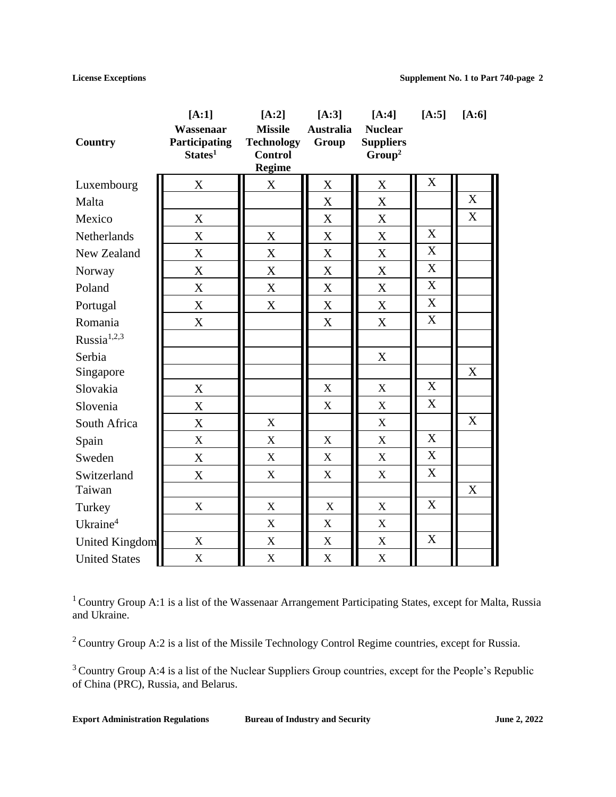|                         | $[A:1]$                                           | $[A:2]$                                                                | $[A:3]$                   | $[A:4]$                                                  | $[A:5]$                   | $[A:6]$                   |
|-------------------------|---------------------------------------------------|------------------------------------------------------------------------|---------------------------|----------------------------------------------------------|---------------------------|---------------------------|
| Country                 | Wassenaar<br>Participating<br>States <sup>1</sup> | <b>Missile</b><br><b>Technology</b><br><b>Control</b><br><b>Regime</b> | <b>Australia</b><br>Group | <b>Nuclear</b><br><b>Suppliers</b><br>Group <sup>2</sup> |                           |                           |
| Luxembourg              | $\mathbf X$                                       | $\mathbf X$                                                            | X                         | X                                                        | $\mathbf X$               |                           |
| Malta                   |                                                   |                                                                        | X                         | X                                                        |                           | $\boldsymbol{\mathrm{X}}$ |
| Mexico                  | X                                                 |                                                                        | X                         | X                                                        |                           | X                         |
| Netherlands             | X                                                 | $\boldsymbol{\mathrm{X}}$                                              | $\boldsymbol{\mathrm{X}}$ | $\boldsymbol{\mathrm{X}}$                                | $\boldsymbol{X}$          |                           |
| New Zealand             | $\mathbf X$                                       | $\mathbf X$                                                            | $\mathbf X$               | $\mathbf X$                                              | $\mathbf X$               |                           |
| Norway                  | $\mathbf X$                                       | $\mathbf X$                                                            | X                         | X                                                        | $\overline{\mathbf{X}}$   |                           |
| Poland                  | $\mathbf X$                                       | $\mathbf X$                                                            | $\mathbf X$               | $\mathbf X$                                              | $\overline{X}$            |                           |
| Portugal                | X                                                 | X                                                                      | X                         | X                                                        | $\mathbf X$               |                           |
| Romania                 | X                                                 |                                                                        | $\mathbf X$               | X                                                        | $\overline{X}$            |                           |
| Russia <sup>1,2,3</sup> |                                                   |                                                                        |                           |                                                          |                           |                           |
| Serbia                  |                                                   |                                                                        |                           | X                                                        |                           |                           |
| Singapore               |                                                   |                                                                        |                           |                                                          |                           | $\mathbf X$               |
| Slovakia                | $\mathbf X$                                       |                                                                        | X                         | X                                                        | $\mathbf X$               |                           |
| Slovenia                | X                                                 |                                                                        | X                         | $\boldsymbol{\mathrm{X}}$                                | $\boldsymbol{\mathrm{X}}$ |                           |
| South Africa            | X                                                 | $\mathbf X$                                                            |                           | X                                                        |                           | X                         |
| Spain                   | $\mathbf X$                                       | X                                                                      | X                         | X                                                        | $\mathbf X$               |                           |
| Sweden                  | $\mathbf X$                                       | X                                                                      | X                         | X                                                        | $\overline{X}$            |                           |
| Switzerland             | X                                                 | $\mathbf X$                                                            | X                         | $\mathbf X$                                              | $\overline{\mathbf{X}}$   |                           |
| Taiwan                  |                                                   |                                                                        |                           |                                                          |                           | X                         |
| Turkey                  | $\mathbf X$                                       | X                                                                      | X                         | X                                                        | X                         |                           |
| Ukraine <sup>4</sup>    |                                                   | $\mathbf X$                                                            | $\mathbf X$               | $\mathbf X$                                              |                           |                           |
| United Kingdom          | $\mathbf X$                                       | $\mathbf X$                                                            | $\mathbf X$               | $\mathbf X$                                              | X                         |                           |
| <b>United States</b>    | $\mathbf X$                                       | $\mathbf X$                                                            | $\mathbf X$               | $\mathbf X$                                              |                           |                           |

<sup>1</sup> Country Group A:1 is a list of the Wassenaar Arrangement Participating States, except for Malta, Russia and Ukraine.

<sup>2</sup> Country Group A:2 is a list of the Missile Technology Control Regime countries, except for Russia.

<sup>3</sup> Country Group A:4 is a list of the Nuclear Suppliers Group countries, except for the People's Republic of China (PRC), Russia, and Belarus.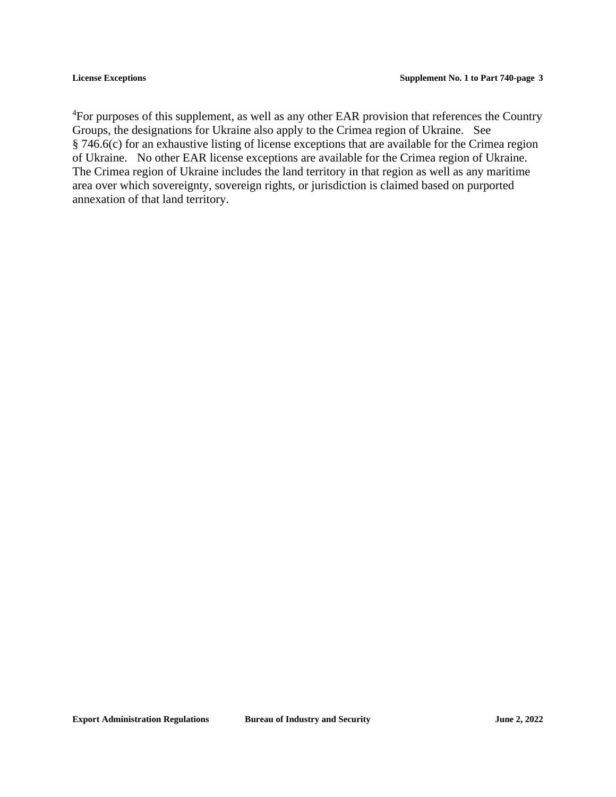<sup>4</sup>For purposes of this supplement, as well as any other EAR provision that references the Country Groups, the designations for Ukraine also apply to the Crimea region of Ukraine. See § 746.6(c) for an exhaustive listing of license exceptions that are available for the Crimea region of Ukraine. No other EAR license exceptions are available for the Crimea region of Ukraine. The Crimea region of Ukraine includes the land territory in that region as well as any maritime area over which sovereignty, sovereign rights, or jurisdiction is claimed based on purported annexation of that land territory.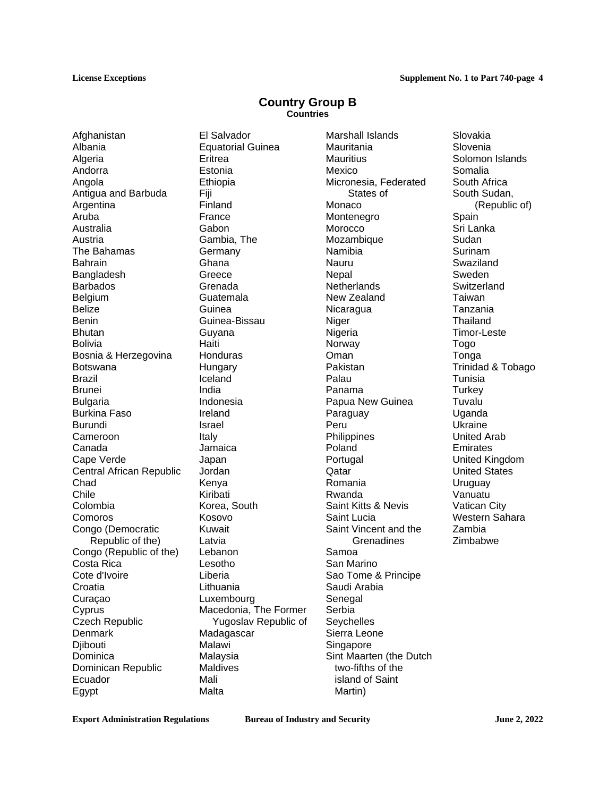### **Country Group B Countries**

Afghanistan Albania Algeria Andorra Angola Antigua and Barbuda Argentina Aruba Australia Austria The Bahamas Bahrain Bangladesh Barbados **Belgium** Belize Benin **Bhutan** Bolivia Bosnia & Herzegovina Botswana Brazil Brunei Bulgaria Burkina Faso Burundi Cameroon Canada Cape Verde Central African Republic Chad Chile Colombia Comoros Congo (Democratic Republic of the) Congo (Republic of the) Costa Rica Cote d'Ivoire **Croatia** Curaçao **Cyprus** Czech Republic **Denmark Diibouti Dominica** Dominican Republic Ecuador Egypt

El Salvador Equatorial Guinea **Eritrea** Estonia Ethiopia Fiji Finland France **Gabon** Gambia, The Germany Ghana **Greece** Grenada Guatemala Guinea Guinea-Bissau Guyana **Haiti Honduras Hungary** Iceland India Indonesia Ireland Israel Italy Jamaica Japan Jordan Kenya Kiribati Korea, South Kosovo Kuwait Latvia Lebanon Lesotho Liberia Lithuania Luxembourg Macedonia, The Former Yugoslav Republic of Madagascar Malawi Malaysia Maldives Mali Malta

Marshall Islands Mauritania **Mauritius** Mexico Micronesia, Federated States of Monaco Montenegro Morocco Mozambique Namibia Nauru **Nepal Netherlands** New Zealand **Nicaragua** Niger Nigeria Norway Oman Pakistan Palau Panama Papua New Guinea Paraguay Peru **Philippines** Poland Portugal **Qatar** Romania Rwanda Saint Kitts & Nevis Saint Lucia Saint Vincent and the **Grenadines** Samoa San Marino Sao Tome & Principe Saudi Arabia Senegal Serbia **Sevchelles** Sierra Leone **Singapore** Sint Maarten (the Dutch two-fifths of the island of Saint Martin)

Slovakia Slovenia Solomon Islands Somalia South Africa South Sudan, (Republic of) Spain Sri Lanka Sudan Surinam Swaziland Sweden Switzerland **Taiwan** Tanzania **Thailand** Timor-Leste Togo Tonga Trinidad & Tobago Tunisia **Turkey** Tuvalu Uganda Ukraine United Arab Emirates United Kingdom United States **Uruguay** Vanuatu Vatican City Western Sahara Zambia Zimbabwe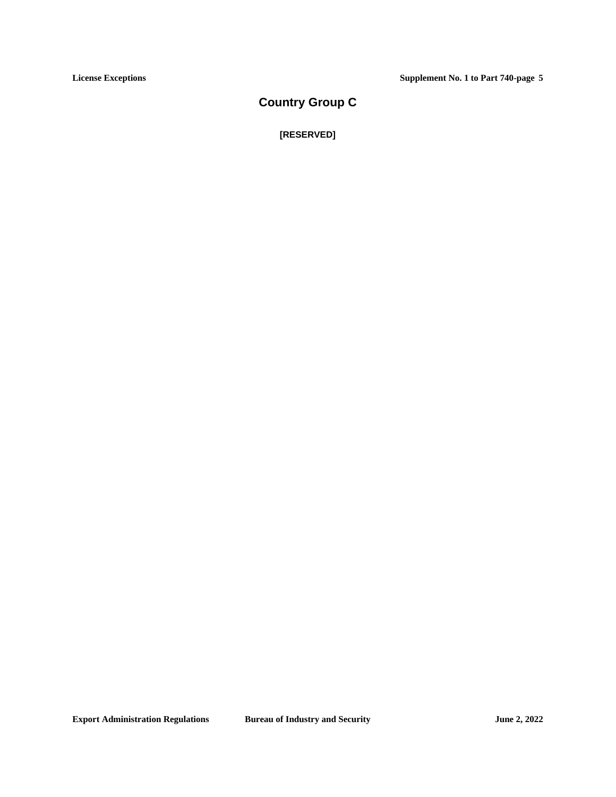## **Country Group C**

**[RESERVED]**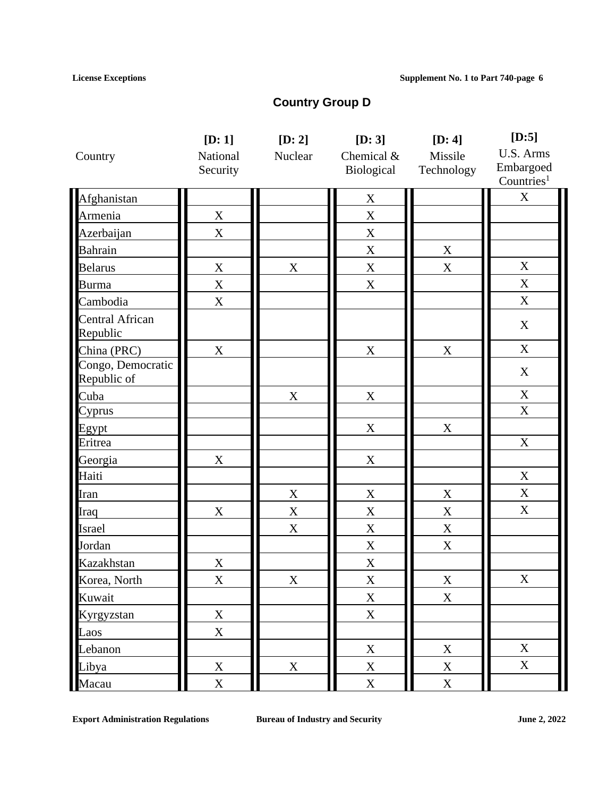# **Country Group D**

|                                    | [D:1]       | [D: 2]      | [D: 3]         | [D: 4]      | $[D:5]$                   |
|------------------------------------|-------------|-------------|----------------|-------------|---------------------------|
| Country                            | National    | Nuclear     | Chemical &     | Missile     | U.S. Arms                 |
|                                    | Security    |             | Biological     | Technology  | Embargoed                 |
|                                    |             |             |                |             | Countries <sup>1</sup>    |
| Afghanistan                        |             |             | $\mathbf X$    |             | $\boldsymbol{\mathrm{X}}$ |
| Armenia                            | $\mathbf X$ |             | $\mathbf X$    |             |                           |
| Azerbaijan                         | $\mathbf X$ |             | $\mathbf X$    |             |                           |
| <b>Bahrain</b>                     |             |             | $\mathbf X$    | $\mathbf X$ |                           |
| <b>Belarus</b>                     | $\mathbf X$ | $\mathbf X$ | $\mathbf X$    | $\mathbf X$ | $\mathbf X$               |
| <b>Burma</b>                       | $\mathbf X$ |             | $\mathbf X$    |             | $\mathbf X$               |
| Cambodia                           | X           |             |                |             | $\boldsymbol{X}$          |
| <b>Central African</b><br>Republic |             |             |                |             | $\mathbf X$               |
| China (PRC)                        | $\mathbf X$ |             | $\mathbf X$    | $\mathbf X$ | $\mathbf X$               |
| Congo, Democratic<br>Republic of   |             |             |                |             | $\mathbf X$               |
| Cuba                               |             | $\mathbf X$ | $\mathbf X$    |             | $\mathbf X$               |
| Cyprus                             |             |             |                |             | $\mathbf X$               |
| Egypt                              |             |             | $\mathbf X$    | $\mathbf X$ |                           |
| Eritrea                            |             |             |                |             | $\mathbf X$               |
| Georgia                            | $\mathbf X$ |             | $\mathbf X$    |             |                           |
| Haiti                              |             |             |                |             | $\mathbf X$               |
| Iran                               |             | $\mathbf X$ | $\mathbf X$    | $\mathbf X$ | $\mathbf X$               |
| Iraq                               | $\mathbf X$ | $\mathbf X$ | $\mathbf X$    | $\mathbf X$ | $\mathbf X$               |
| Israel                             |             | $\mathbf X$ | $\mathbf X$    | $\mathbf X$ |                           |
| Jordan                             |             |             | $\mathbf X$    | $\mathbf X$ |                           |
| Kazakhstan                         | $\mathbf X$ |             | $\mathbf X$    |             |                           |
| Korea, North                       | X           | X           | X              | X           | $\mathbf X$               |
| Kuwait                             |             |             | $\mathbf X$    | $\mathbf X$ |                           |
| Kyrgyzstan                         | $\mathbf X$ |             | $\mathbf X$    |             |                           |
| Laos                               | $\mathbf X$ |             |                |             |                           |
| Lebanon                            |             |             | $\mathbf X$    | $\mathbf X$ | $\mathbf X$               |
| Libya                              | $\mathbf X$ | $\mathbf X$ | $\mathbf X$    | $\mathbf X$ | $\mathbf X$               |
| Macau                              | $\mathbf X$ |             | $\overline{X}$ | $\mathbf X$ |                           |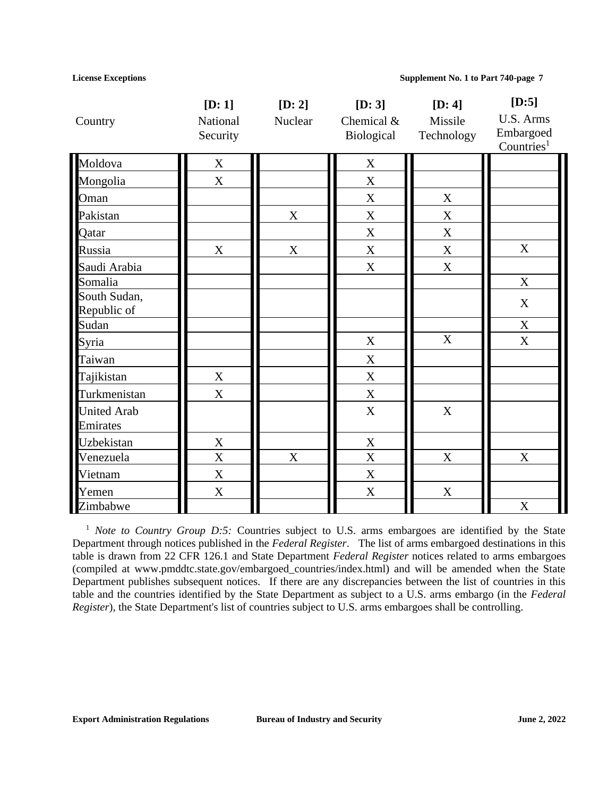|                                | [D:1]       | [D: 2]                    | [D: 3]                    | [D: 4]      | $[D:5]$                |
|--------------------------------|-------------|---------------------------|---------------------------|-------------|------------------------|
| Country                        | National    | Nuclear                   | Chemical &                | Missile     | U.S. Arms<br>Embargoed |
|                                | Security    |                           | Biological                | Technology  | Countries <sup>1</sup> |
| Moldova                        | $\mathbf X$ |                           | $\mathbf X$               |             |                        |
| Mongolia                       | $\mathbf X$ |                           | X                         |             |                        |
| Oman                           |             |                           | $\mathbf X$               | $\mathbf X$ |                        |
| Pakistan                       |             | $\mathbf X$               | $\mathbf X$               | $\mathbf X$ |                        |
| Qatar                          |             |                           | $\mathbf X$               | $\mathbf X$ |                        |
| Russia                         | $\mathbf X$ | $\mathbf X$               | $\boldsymbol{\mathrm{X}}$ | $\mathbf X$ | $\mathbf X$            |
| Saudi Arabia                   |             |                           | $\boldsymbol{\mathrm{X}}$ | $\mathbf X$ |                        |
| Somalia                        |             |                           |                           |             | $\mathbf X$            |
| South Sudan,<br>Republic of    |             |                           |                           |             | $\mathbf X$            |
| Sudan                          |             |                           |                           |             | $\mathbf X$            |
| Syria                          |             |                           | $\mathbf X$               | $\mathbf X$ | $\mathbf X$            |
| Taiwan                         |             |                           | $\mathbf X$               |             |                        |
| Tajikistan                     | $\mathbf X$ |                           | $\mathbf X$               |             |                        |
| Turkmenistan                   | $\mathbf X$ |                           | $\mathbf X$               |             |                        |
| <b>United Arab</b><br>Emirates |             |                           | $\mathbf X$               | $\mathbf X$ |                        |
| Uzbekistan                     | $\mathbf X$ |                           | $\mathbf X$               |             |                        |
| Venezuela                      | X           | $\boldsymbol{\mathrm{X}}$ | $\overline{X}$            | $\mathbf X$ | $\mathbf X$            |
| Vietnam                        | $\mathbf X$ |                           | $\mathbf X$               |             |                        |
| Yemen                          | $\mathbf X$ |                           | $\mathbf X$               | $\mathbf X$ |                        |
| Zimbabwe                       |             |                           |                           |             | $\mathbf X$            |

<sup>1</sup> *Note to Country Group D:5:* Countries subject to U.S. arms embargoes are identified by the State Department through notices published in the *Federal Register*. The list of arms embargoed destinations in this table is drawn from 22 CFR 126.1 and State Department *Federal Register* notices related to arms embargoes (compiled at www.pmddtc.state.gov/embargoed\_countries/index.html) and will be amended when the State Department publishes subsequent notices. If there are any discrepancies between the list of countries in this table and the countries identified by the State Department as subject to a U.S. arms embargo (in the *Federal Register*), the State Department's list of countries subject to U.S. arms embargoes shall be controlling.